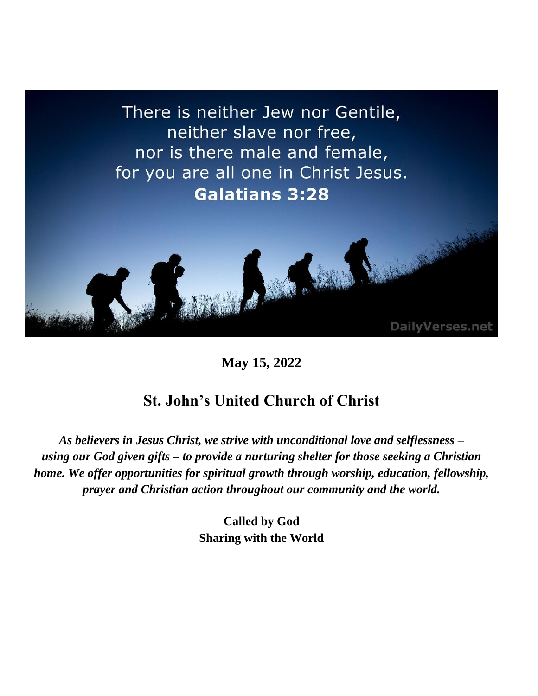

**May 15, 2022**

# **St. John's United Church of Christ**

*As believers in Jesus Christ, we strive with unconditional love and selflessness – using our God given gifts – to provide a nurturing shelter for those seeking a Christian home. We offer opportunities for spiritual growth through worship, education, fellowship, prayer and Christian action throughout our community and the world.*

> **Called by God Sharing with the World**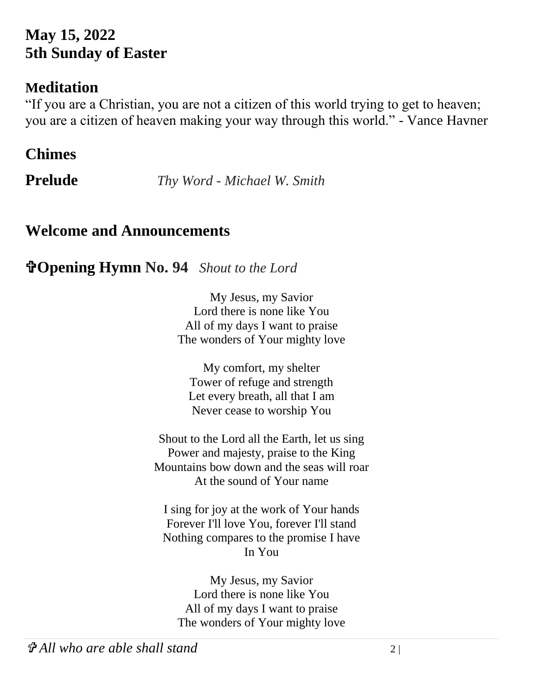# **May 15, 2022 5th Sunday of Easter**

## **Meditation**

"If you are a Christian, you are not a citizen of this world trying to get to heaven; you are a citizen of heaven making your way through this world." - Vance Havner

**Chimes**

**Prelude** *Thy Word - Michael W. Smith* 

## **Welcome and Announcements**

**Opening Hymn No. 94** *Shout to the Lord*

My Jesus, my Savior Lord there is none like You All of my days I want to praise The wonders of Your mighty love

My comfort, my shelter Tower of refuge and strength Let every breath, all that I am Never cease to worship You

Shout to the Lord all the Earth, let us sing Power and majesty, praise to the King Mountains bow down and the seas will roar At the sound of Your name

I sing for joy at the work of Your hands Forever I'll love You, forever I'll stand Nothing compares to the promise I have In You

My Jesus, my Savior Lord there is none like You All of my days I want to praise The wonders of Your mighty love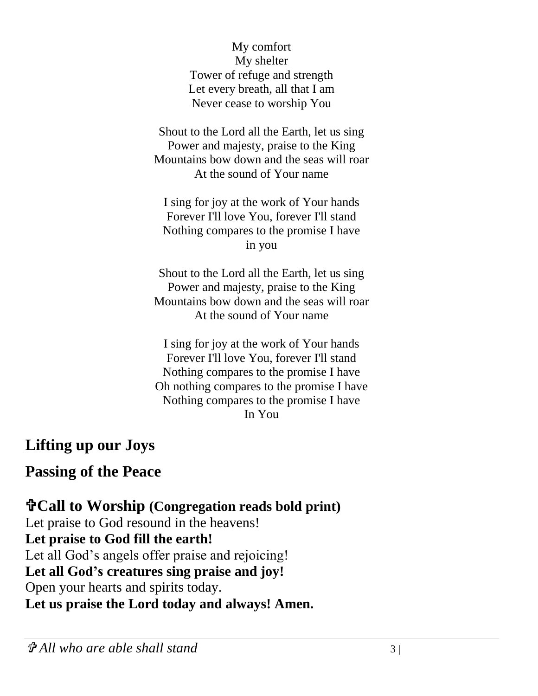My comfort My shelter Tower of refuge and strength Let every breath, all that I am Never cease to worship You

Shout to the Lord all the Earth, let us sing Power and majesty, praise to the King Mountains bow down and the seas will roar At the sound of Your name

I sing for joy at the work of Your hands Forever I'll love You, forever I'll stand Nothing compares to the promise I have in you

Shout to the Lord all the Earth, let us sing Power and majesty, praise to the King Mountains bow down and the seas will roar At the sound of Your name

I sing for joy at the work of Your hands Forever I'll love You, forever I'll stand Nothing compares to the promise I have Oh nothing compares to the promise I have Nothing compares to the promise I have In You

## **Lifting up our Joys**

## **Passing of the Peace**

**Call to Worship (Congregation reads bold print)** Let praise to God resound in the heavens! **Let praise to God fill the earth!** Let all God's angels offer praise and rejoicing! **Let all God's creatures sing praise and joy!** Open your hearts and spirits today. **Let us praise the Lord today and always! Amen.**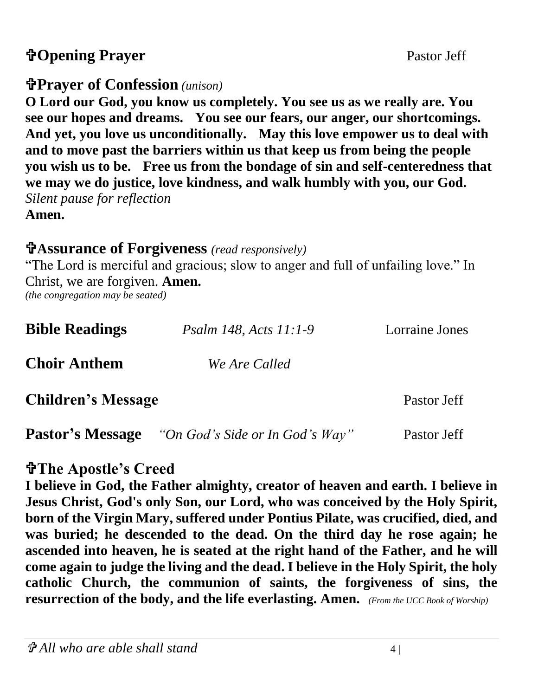# **The Opening Prayer Service Service Service Service Service Service Service Service Service Service Service Service Service Service Service Service Service Service Service Service Service Service Service Service Service Se**

#### **Prayer of Confession** *(unison)*

**O Lord our God, you know us completely. You see us as we really are. You see our hopes and dreams. You see our fears, our anger, our shortcomings. And yet, you love us unconditionally. May this love empower us to deal with and to move past the barriers within us that keep us from being the people you wish us to be. Free us from the bondage of sin and self-centeredness that we may we do justice, love kindness, and walk humbly with you, our God.** *Silent pause for reflection* 

**Amen.**

#### **Assurance of Forgiveness** *(read responsively)*

"The Lord is merciful and gracious; slow to anger and full of unfailing love." In Christ, we are forgiven. **Amen.**

*(the congregation may be seated)*

| <b>Bible Readings</b>     | <i>Psalm 148, Acts 11:1-9</i>   | <b>Lorraine Jones</b> |
|---------------------------|---------------------------------|-----------------------|
| <b>Choir Anthem</b>       | We Are Called                   |                       |
| <b>Children's Message</b> |                                 | Pastor Jeff           |
| <b>Pastor's Message</b>   | "On God's Side or In God's Way" | Pastor Jeff           |

#### **The Apostle's Creed**

**I believe in God, the Father almighty, creator of heaven and earth. I believe in Jesus Christ, God's only Son, our Lord, who was conceived by the Holy Spirit, born of the Virgin Mary, suffered under Pontius Pilate, was crucified, died, and was buried; he descended to the dead. On the third day he rose again; he ascended into heaven, he is seated at the right hand of the Father, and he will come again to judge the living and the dead. I believe in the Holy Spirit, the holy catholic Church, the communion of saints, the forgiveness of sins, the resurrection of the body, and the life everlasting. Amen.** *(From the UCC Book of Worship)*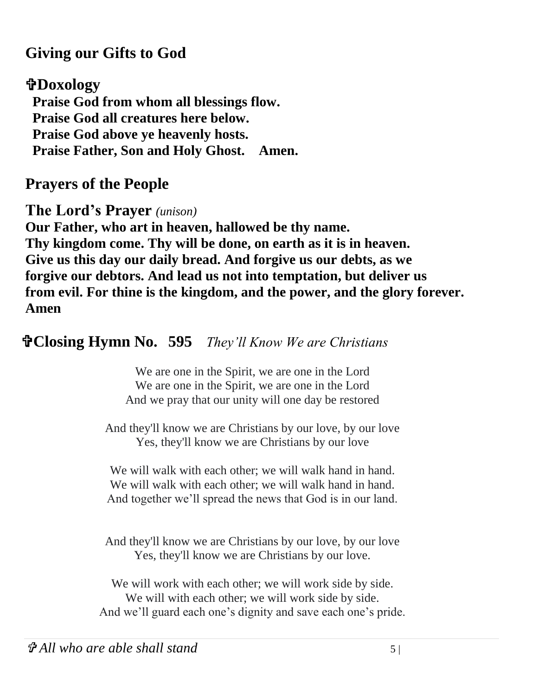**Giving our Gifts to God**

**Doxology Praise God from whom all blessings flow. Praise God all creatures here below. Praise God above ye heavenly hosts. Praise Father, Son and Holy Ghost. Amen.** 

**Prayers of the People**

**The Lord's Prayer** *(unison)*

**Our Father, who art in heaven, hallowed be thy name. Thy kingdom come. Thy will be done, on earth as it is in heaven. Give us this day our daily bread. And forgive us our debts, as we forgive our debtors. And lead us not into temptation, but deliver us from evil. For thine is the kingdom, and the power, and the glory forever. Amen**

#### **Closing Hymn No. 595** *They'll Know We are Christians*

We are one in the Spirit, we are one in the Lord We are one in the Spirit, we are one in the Lord And we pray that our unity will one day be restored

And they'll know we are Christians by our love, by our love Yes, they'll know we are Christians by our love

We will walk with each other; we will walk hand in hand. We will walk with each other; we will walk hand in hand. And together we'll spread the news that God is in our land.

And they'll know we are Christians by our love, by our love Yes, they'll know we are Christians by our love.

We will work with each other; we will work side by side. We will with each other; we will work side by side. And we'll guard each one's dignity and save each one's pride.